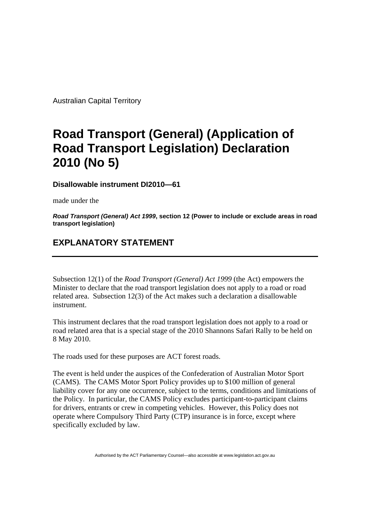Australian Capital Territory

## **Road Transport (General) (Application of Road Transport Legislation) Declaration 2010 (No 5)**

**Disallowable instrument DI2010—61**

made under the

*Road Transport (General) Act 1999***, section 12 (Power to include or exclude areas in road transport legislation)**

## **EXPLANATORY STATEMENT**

Subsection 12(1) of the *Road Transport (General) Act 1999* (the Act) empowers the Minister to declare that the road transport legislation does not apply to a road or road related area. Subsection 12(3) of the Act makes such a declaration a disallowable instrument.

This instrument declares that the road transport legislation does not apply to a road or road related area that is a special stage of the 2010 Shannons Safari Rally to be held on 8 May 2010.

The roads used for these purposes are ACT forest roads.

The event is held under the auspices of the Confederation of Australian Motor Sport (CAMS). The CAMS Motor Sport Policy provides up to \$100 million of general liability cover for any one occurrence, subject to the terms, conditions and limitations of the Policy. In particular, the CAMS Policy excludes participant-to-participant claims for drivers, entrants or crew in competing vehicles. However, this Policy does not operate where Compulsory Third Party (CTP) insurance is in force, except where specifically excluded by law.